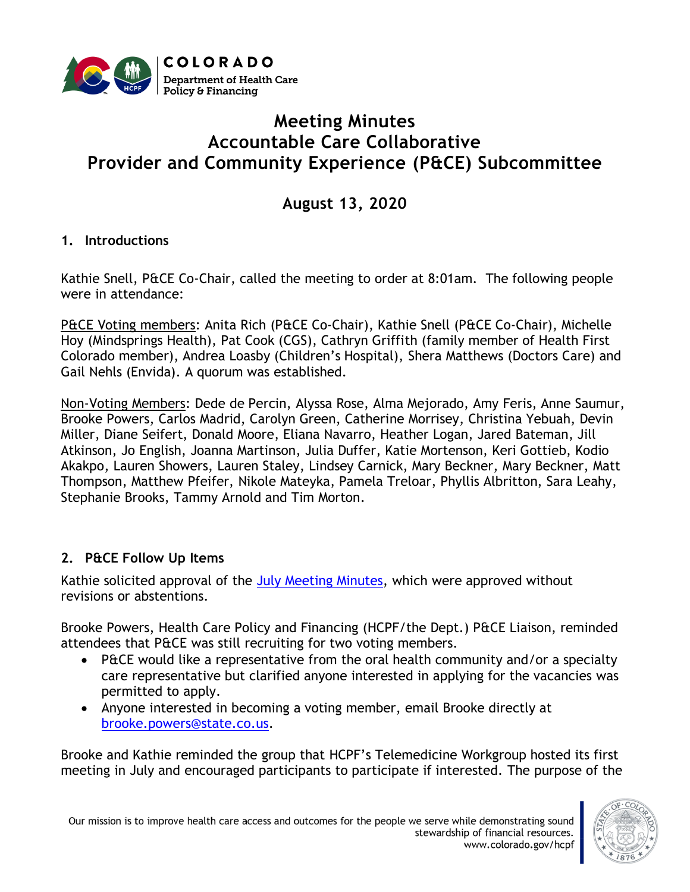

# **Meeting Minutes Accountable Care Collaborative Provider and Community Experience (P&CE) Subcommittee**

**August 13, 2020**

# **1. Introductions**

Kathie Snell, P&CE Co-Chair, called the meeting to order at 8:01am. The following people were in attendance:

P&CE Voting members: Anita Rich (P&CE Co-Chair), Kathie Snell (P&CE Co-Chair), Michelle Hoy (Mindsprings Health), Pat Cook (CGS), Cathryn Griffith (family member of Health First Colorado member), Andrea Loasby (Children's Hospital), Shera Matthews (Doctors Care) and Gail Nehls (Envida). A quorum was established.

Non-Voting Members: Dede de Percin, Alyssa Rose, Alma Mejorado, Amy Feris, Anne Saumur, Brooke Powers, Carlos Madrid, Carolyn Green, Catherine Morrisey, Christina Yebuah, Devin Miller, Diane Seifert, Donald Moore, Eliana Navarro, Heather Logan, Jared Bateman, Jill Atkinson, Jo English, Joanna Martinson, Julia Duffer, Katie Mortenson, Keri Gottieb, Kodio Akakpo, Lauren Showers, Lauren Staley, Lindsey Carnick, Mary Beckner, Mary Beckner, Matt Thompson, Matthew Pfeifer, Nikole Mateyka, Pamela Treloar, Phyllis Albritton, Sara Leahy, Stephanie Brooks, Tammy Arnold and Tim Morton.

## **2. P&CE Follow Up Items**

Kathie solicited approval of the [July Meeting Minutes,](file:///C:/Users/brook/Downloads/20Minutes) which were approved without revisions or abstentions.

Brooke Powers, Health Care Policy and Financing (HCPF/the Dept.) P&CE Liaison, reminded attendees that P&CE was still recruiting for two voting members.

- P&CE would like a representative from the oral health community and/or a specialty care representative but clarified anyone interested in applying for the vacancies was permitted to apply.
- Anyone interested in becoming a voting member, email Brooke directly at [brooke.powers@state.co.us.](mailto:brooke.powers@state.co.us)

Brooke and Kathie reminded the group that HCPF's Telemedicine Workgroup hosted its first meeting in July and encouraged participants to participate if interested. The purpose of the

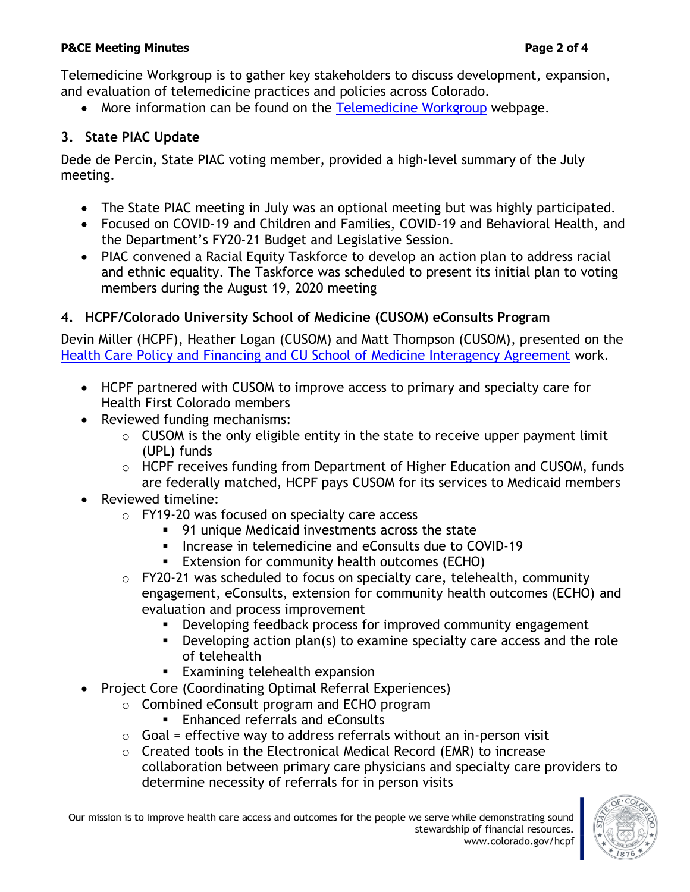#### **P&CE Meeting Minutes Page 2 of 4**

Telemedicine Workgroup is to gather key stakeholders to discuss development, expansion, and evaluation of telemedicine practices and policies across Colorado.

• More information can be found on the [Telemedicine Workgroup](https://www.colorado.gov/pacific/hcpf/stakeholder-telemedicine) webpage.

# **3. State PIAC Update**

Dede de Percin, State PIAC voting member, provided a high-level summary of the July meeting.

- The State PIAC meeting in July was an optional meeting but was highly participated.
- Focused on COVID-19 and Children and Families, COVID-19 and Behavioral Health, and the Department's FY20-21 Budget and Legislative Session.
- PIAC convened a Racial Equity Taskforce to develop an action plan to address racial and ethnic equality. The Taskforce was scheduled to present its initial plan to voting members during the August 19, 2020 meeting

# **4. HCPF/Colorado University School of Medicine (CUSOM) eConsults Program**

Devin Miller (HCPF), Heather Logan (CUSOM) and Matt Thompson (CUSOM), presented on the [Health Care Policy and Financing and CU School of Medicine Interagency Agreement](https://www.colorado.gov/pacific/sites/default/files/Provider%20and%20Community%20Experience%20PIAC%20Subcommittee%20HCPF%20and%20CU%20School%20of%20Medicine%20Interagency%20Agreement%20PowerPoint%20August%202020.pdf) work.

- HCPF partnered with CUSOM to improve access to primary and specialty care for Health First Colorado members
- Reviewed funding mechanisms:
	- $\circ$  CUSOM is the only eligible entity in the state to receive upper payment limit (UPL) funds
	- o HCPF receives funding from Department of Higher Education and CUSOM, funds are federally matched, HCPF pays CUSOM for its services to Medicaid members
- Reviewed timeline:
	- o FY19-20 was focused on specialty care access
		- 91 unique Medicaid investments across the state
		- Increase in telemedicine and eConsults due to COVID-19
		- **Extension for community health outcomes (ECHO)**
	- $\circ$  FY20-21 was scheduled to focus on specialty care, telehealth, community engagement, eConsults, extension for community health outcomes (ECHO) and evaluation and process improvement
		- **•** Developing feedback process for improved community engagement
		- **•** Developing action plan(s) to examine specialty care access and the role of telehealth
		- Examining telehealth expansion
- Project Core (Coordinating Optimal Referral Experiences)
	- o Combined eConsult program and ECHO program
		- Enhanced referrals and eConsults
	- $\circ$  Goal = effective way to address referrals without an in-person visit
	- $\circ$  Created tools in the Electronical Medical Record (EMR) to increase collaboration between primary care physicians and specialty care providers to determine necessity of referrals for in person visits

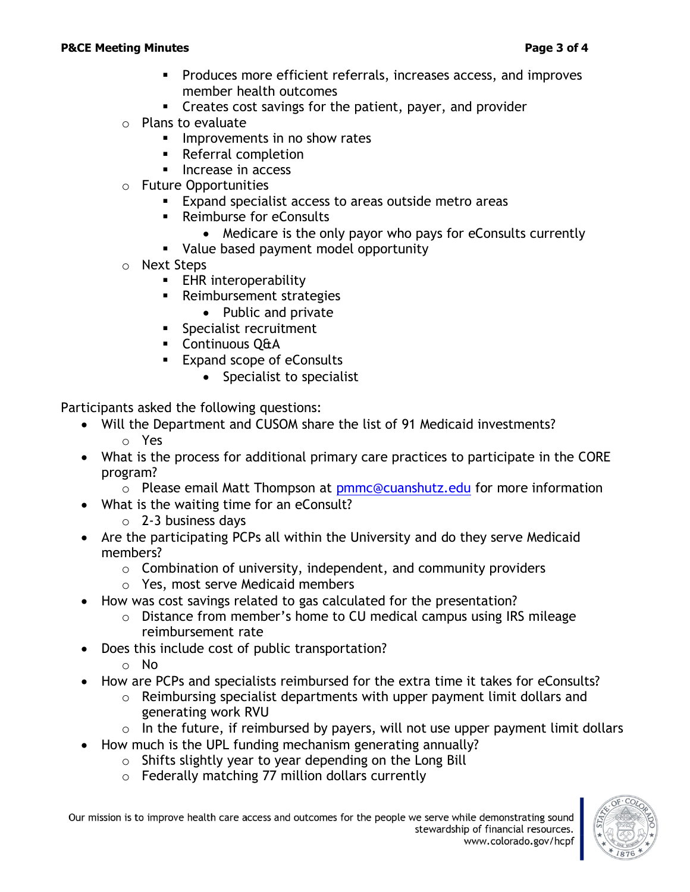- Produces more efficient referrals, increases access, and improves member health outcomes
- Creates cost savings for the patient, payer, and provider
- o Plans to evaluate
	- **■** Improvements in no show rates
	- Referral completion
	- Increase in access
- o Future Opportunities
	- **Expand specialist access to areas outside metro areas**
	- Reimburse for eConsults
		- Medicare is the only payor who pays for eConsults currently
	- Value based payment model opportunity
- o Next Steps
	- **EHR** interoperability
	- Reimbursement strategies
		- Public and private
	- **·** Specialist recruitment
	- Continuous Q&A
	- Expand scope of eConsults
		- Specialist to specialist

Participants asked the following questions:

- Will the Department and CUSOM share the list of 91 Medicaid investments? o Yes
- What is the process for additional primary care practices to participate in the CORE program?
	- o Please email Matt Thompson at **pmmc@cuanshutz.edu** for more information
- What is the waiting time for an eConsult?
	- $\circ$  2-3 business days
- Are the participating PCPs all within the University and do they serve Medicaid members?
	- $\circ$  Combination of university, independent, and community providers
	- o Yes, most serve Medicaid members
- How was cost savings related to gas calculated for the presentation?
	- o Distance from member's home to CU medical campus using IRS mileage reimbursement rate
- Does this include cost of public transportation?
	- o No
- How are PCPs and specialists reimbursed for the extra time it takes for eConsults?
	- o Reimbursing specialist departments with upper payment limit dollars and generating work RVU
	- $\circ$  In the future, if reimbursed by payers, will not use upper payment limit dollars
- How much is the UPL funding mechanism generating annually?
	- $\circ$  Shifts slightly year to year depending on the Long Bill
	- o Federally matching 77 million dollars currently